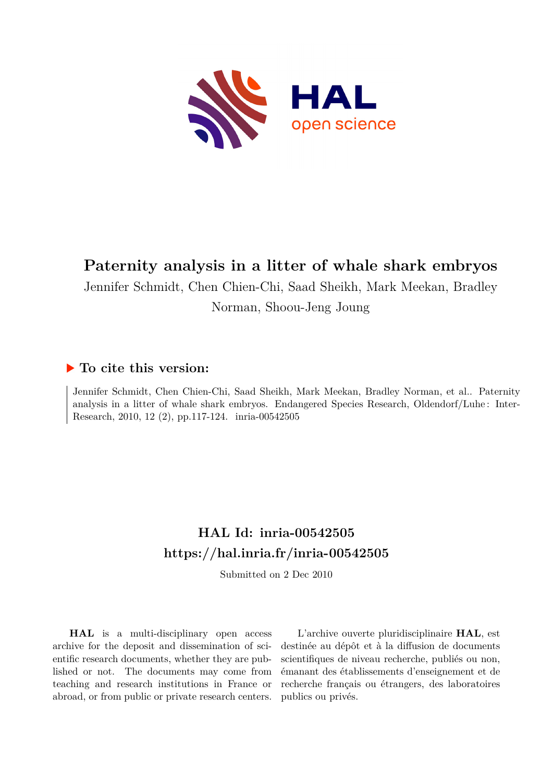

# **Paternity analysis in a litter of whale shark embryos**

Jennifer Schmidt, Chen Chien-Chi, Saad Sheikh, Mark Meekan, Bradley Norman, Shoou-Jeng Joung

# **To cite this version:**

Jennifer Schmidt, Chen Chien-Chi, Saad Sheikh, Mark Meekan, Bradley Norman, et al.. Paternity analysis in a litter of whale shark embryos. Endangered Species Research, Oldendorf/Luhe : Inter-Research, 2010, 12 (2), pp.117-124. inria-00542505

# **HAL Id: inria-00542505 <https://hal.inria.fr/inria-00542505>**

Submitted on 2 Dec 2010

**HAL** is a multi-disciplinary open access archive for the deposit and dissemination of scientific research documents, whether they are published or not. The documents may come from teaching and research institutions in France or abroad, or from public or private research centers.

L'archive ouverte pluridisciplinaire **HAL**, est destinée au dépôt et à la diffusion de documents scientifiques de niveau recherche, publiés ou non, émanant des établissements d'enseignement et de recherche français ou étrangers, des laboratoires publics ou privés.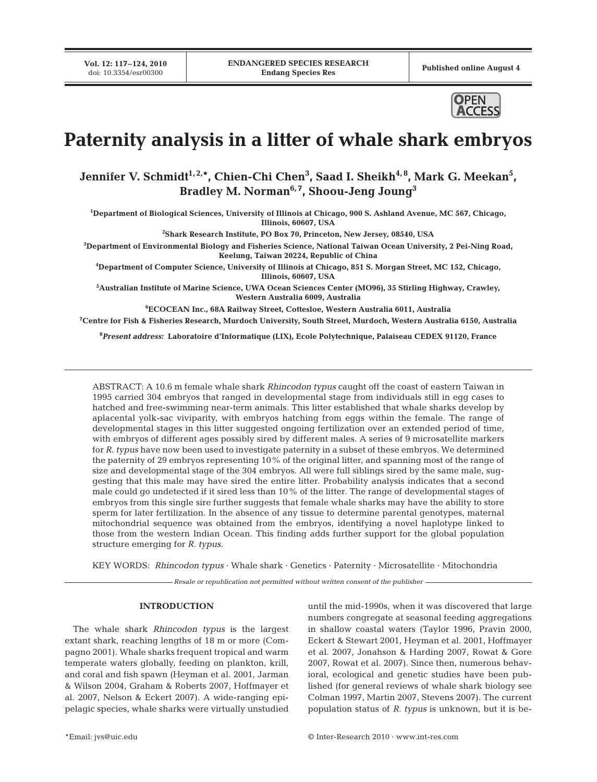**Vol. 12: 117–124, 2010**



# **Paternity analysis in a litter of whale shark embryos**

Jennifer V. Schmidt<sup>1,2,</sup>\*, Chien-Chi Chen<sup>3</sup>, Saad I. Sheikh<sup>4,8</sup>, Mark G. Meekan<sup>5</sup>, Bradley M. Norman<sup>6, 7</sup>, Shoou-Jeng Joung<sup>3</sup>

**1 Department of Biological Sciences, University of Illinois at Chicago, 900 S. Ashland Avenue, MC 567, Chicago, Illinois, 60607, USA** 

**2 Shark Research Institute, PO Box 70, Princeton, New Jersey, 08540, USA** 

**3 Department of Environmental Biology and Fisheries Science, National Taiwan Ocean University, 2 Pei-Ning Road, Keelung, Taiwan 20224, Republic of China** 

**4 Department of Computer Science, University of Illinois at Chicago, 851 S. Morgan Street, MC 152, Chicago, Illinois, 60607, USA** 

**5 Australian Institute of Marine Science, UWA Ocean Sciences Center (MO96), 35 Stirling Highway, Crawley, Western Australia 6009, Australia** 

**6 ECOCEAN Inc., 68A Railway Street, Cottesloe, Western Australia 6011, Australia** 

**7 Centre for Fish & Fisheries Research, Murdoch University, South Street, Murdoch, Western Australia 6150, Australia**

**8** *Present address:* **Laboratoire d'Informatique (LIX), Ecole Polytechnique, Palaiseau CEDEX 91120, France**

ABSTRACT: A 10.6 m female whale shark *Rhincodon typus* caught off the coast of eastern Taiwan in 1995 carried 304 embryos that ranged in developmental stage from individuals still in egg cases to hatched and free-swimming near-term animals. This litter established that whale sharks develop by aplacental yolk-sac viviparity, with embryos hatching from eggs within the female. The range of developmental stages in this litter suggested ongoing fertilization over an extended period of time, with embryos of different ages possibly sired by different males. A series of 9 microsatellite markers for *R. typus* have now been used to investigate paternity in a subset of these embryos. We determined the paternity of 29 embryos representing 10% of the original litter, and spanning most of the range of size and developmental stage of the 304 embryos. All were full siblings sired by the same male, suggesting that this male may have sired the entire litter. Probability analysis indicates that a second male could go undetected if it sired less than 10% of the litter. The range of developmental stages of embryos from this single sire further suggests that female whale sharks may have the ability to store sperm for later fertilization. In the absence of any tissue to determine parental genotypes, maternal mitochondrial sequence was obtained from the embryos, identifying a novel haplotype linked to those from the western Indian Ocean. This finding adds further support for the global population structure emerging for *R. typus*.

KEY WORDS: *Rhincodon typus* · Whale shark · Genetics · Paternity · Microsatellite · Mitochondria

*Resale or republication not permitted without written consent of the publisher*

#### **INTRODUCTION**

The whale shark *Rhincodon typus* is the largest extant shark, reaching lengths of 18 m or more (Compagno 2001). Whale sharks frequent tropical and warm temperate waters globally, feeding on plankton, krill, and coral and fish spawn (Heyman et al. 2001, Jarman & Wilson 2004, Graham & Roberts 2007, Hoffmayer et al. 2007, Nelson & Eckert 2007). A wide-ranging epipelagic species, whale sharks were virtually unstudied until the mid-1990s, when it was discovered that large numbers congregate at seasonal feeding aggregations in shallow coastal waters (Taylor 1996, Pravin 2000, Eckert & Stewart 2001, Heyman et al. 2001, Hoffmayer et al. 2007, Jonahson & Harding 2007, Rowat & Gore 2007, Rowat et al. 2007). Since then, numerous behavioral, ecological and genetic studies have been published (for general reviews of whale shark biology see Colman 1997, Martin 2007, Stevens 2007). The current population status of *R. typus* is unknown, but it is be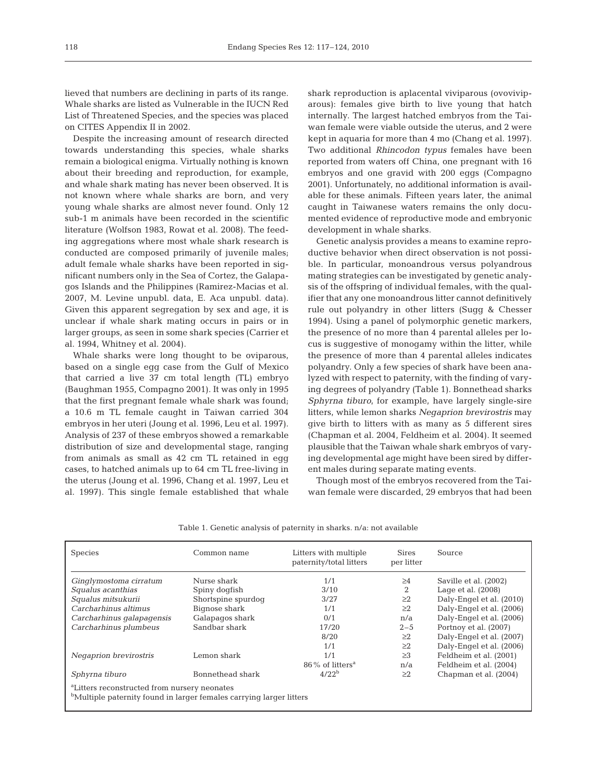lieved that numbers are declining in parts of its range. Whale sharks are listed as Vulnerable in the IUCN Red List of Threatened Species, and the species was placed on CITES Appendix II in 2002.

Despite the increasing amount of research directed towards understanding this species, whale sharks remain a biological enigma. Virtually nothing is known about their breeding and reproduction, for example, and whale shark mating has never been observed. It is not known where whale sharks are born, and very young whale sharks are almost never found. Only 12 sub-1 m animals have been recorded in the scientific literature (Wolfson 1983, Rowat et al. 2008). The feeding aggregations where most whale shark research is conducted are composed primarily of juvenile males; adult female whale sharks have been reported in significant numbers only in the Sea of Cortez, the Galapagos Islands and the Philippines (Ramirez-Macias et al. 2007, M. Levine unpubl. data, E. Aca unpubl. data). Given this apparent segregation by sex and age, it is unclear if whale shark mating occurs in pairs or in larger groups, as seen in some shark species (Carrier et al. 1994, Whitney et al. 2004).

Whale sharks were long thought to be oviparous, based on a single egg case from the Gulf of Mexico that carried a live 37 cm total length (TL) embryo (Baughman 1955, Compagno 2001). It was only in 1995 that the first pregnant female whale shark was found; a 10.6 m TL female caught in Taiwan carried 304 embryos in her uteri (Joung et al. 1996, Leu et al. 1997). Analysis of 237 of these embryos showed a remarkable distribution of size and developmental stage, ranging from animals as small as 42 cm TL retained in egg cases, to hatched animals up to 64 cm TL free-living in the uterus (Joung et al. 1996, Chang et al. 1997, Leu et al. 1997). This single female established that whale shark reproduction is aplacental viviparous (ovoviviparous): females give birth to live young that hatch internally. The largest hatched embryos from the Taiwan female were viable outside the uterus, and 2 were kept in aquaria for more than 4 mo (Chang et al. 1997). Two additional *Rhincodon typus* females have been reported from waters off China, one pregnant with 16 embryos and one gravid with 200 eggs (Compagno 2001). Unfortunately, no additional information is available for these animals. Fifteen years later, the animal caught in Taiwanese waters remains the only documented evidence of reproductive mode and embryonic development in whale sharks.

Genetic analysis provides a means to examine reproductive behavior when direct observation is not possible. In particular, monoandrous versus polyandrous mating strategies can be investigated by genetic analysis of the offspring of individual females, with the qualifier that any one monoandrous litter cannot definitively rule out polyandry in other litters (Sugg & Chesser 1994). Using a panel of polymorphic genetic markers, the presence of no more than 4 parental alleles per locus is suggestive of monogamy within the litter, while the presence of more than 4 parental alleles indicates polyandry. Only a few species of shark have been analyzed with respect to paternity, with the finding of varying degrees of polyandry (Table 1). Bonnethead sharks *Sphyrna tiburo*, for example, have largely single-sire litters, while lemon sharks *Negaprion brevirostris* may give birth to litters with as many as 5 different sires (Chapman et al. 2004, Feldheim et al. 2004). It seemed plausible that the Taiwan whale shark embryos of varying developmental age might have been sired by different males during separate mating events.

Though most of the embryos recovered from the Taiwan female were discarded, 29 embryos that had been

| <b>Species</b>                                                                                                                              | Common name        | Litters with multiple<br>paternity/total litters | <b>Sires</b><br>per litter | Source                   |
|---------------------------------------------------------------------------------------------------------------------------------------------|--------------------|--------------------------------------------------|----------------------------|--------------------------|
| Ginglymostoma cirratum                                                                                                                      | Nurse shark        | 1/1                                              | >4                         | Saville et al. (2002)    |
| Squalus acanthias                                                                                                                           | Spiny dogfish      | 3/10                                             | 2                          | Lage et al. $(2008)$     |
| Squalus mitsukurii                                                                                                                          | Shortspine spurdoq | 3/27                                             | >2                         | Daly-Engel et al. (2010) |
| Carcharhinus altimus                                                                                                                        | Bignose shark      | 1/1                                              | >2                         | Daly-Engel et al. (2006) |
| Carcharhinus galapagensis                                                                                                                   | Galapagos shark    | 0/1                                              | n/a                        | Daly-Engel et al. (2006) |
| Carcharhinus plumbeus                                                                                                                       | Sandbar shark      | 17/20                                            | $2 - 5$                    | Portnoy et al. (2007)    |
|                                                                                                                                             |                    | 8/20                                             | >2                         | Daly-Engel et al. (2007) |
|                                                                                                                                             |                    | 1/1                                              | >2                         | Daly-Engel et al. (2006) |
| Negaprion brevirostris                                                                                                                      | Lemon shark        | 1/1                                              | $\geq$ 3                   | Feldheim et al. (2001)   |
|                                                                                                                                             |                    | $86\%$ of litters <sup>a</sup>                   | n/a                        | Feldheim et al. (2004)   |
| Sphyrna tiburo                                                                                                                              | Bonnethead shark   | $4/22^b$                                         | >2                         | Chapman et al. (2004)    |
| <sup>a</sup> Litters reconstructed from nursery neonates<br><sup>b</sup> Multiple paternity found in larger females carrying larger litters |                    |                                                  |                            |                          |

Table 1. Genetic analysis of paternity in sharks. n/a: not available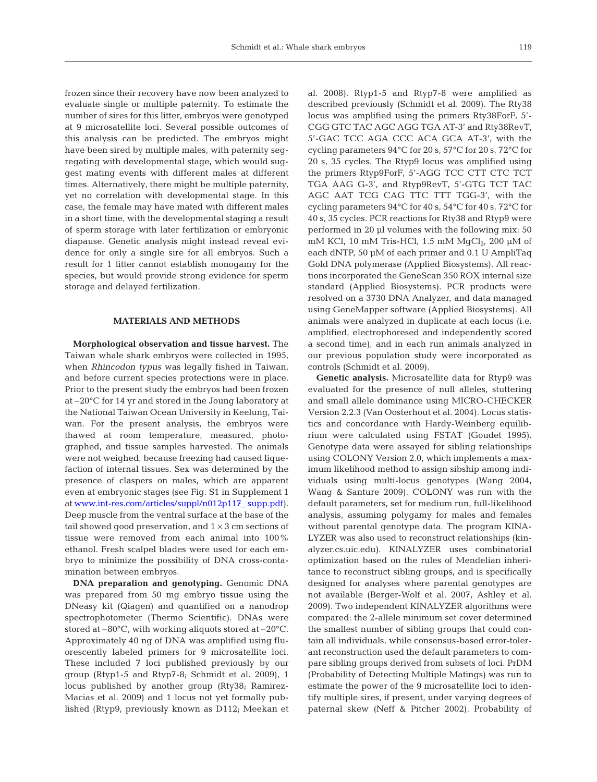frozen since their recovery have now been analyzed to evaluate single or multiple paternity. To estimate the number of sires for this litter, embryos were genotyped at 9 microsatellite loci. Several possible outcomes of this analysis can be predicted. The embryos might have been sired by multiple males, with paternity segregating with developmental stage, which would suggest mating events with different males at different times. Alternatively, there might be multiple paternity, yet no correlation with developmental stage. In this case, the female may have mated with different males in a short time, with the developmental staging a result of sperm storage with later fertilization or embryonic diapause. Genetic analysis might instead reveal evidence for only a single sire for all embryos. Such a result for 1 litter cannot establish monogamy for the species, but would provide strong evidence for sperm storage and delayed fertilization.

#### **MATERIALS AND METHODS**

**Morphological observation and tissue harvest.** The Taiwan whale shark embryos were collected in 1995, when *Rhincodon typus* was legally fished in Taiwan, and before current species protections were in place. Prior to the present study the embryos had been frozen at –20°C for 14 yr and stored in the Joung laboratory at the National Taiwan Ocean University in Keelung, Taiwan. For the present analysis, the embryos were thawed at room temperature, measured, photographed, and tissue samples harvested. The animals were not weighed, because freezing had caused liquefaction of internal tissues. Sex was determined by the presence of claspers on males, which are apparent even at embryonic stages (see Fig. S1 in Supplement 1 a[t www.int-res.com/articles/suppl/n012p117\\_](http://www.int-res.com/articles/suppl/n012p117_supp.pdf) supp.pdf). Deep muscle from the ventral surface at the base of the tail showed good preservation, and  $1 \times 3$  cm sections of tissue were removed from each animal into 100% ethanol. Fresh scalpel blades were used for each embryo to minimize the possibility of DNA cross-contamination between embryos.

**DNA preparation and genotyping.** Genomic DNA was prepared from 50 mg embryo tissue using the DNeasy kit (Qiagen) and quantified on a nanodrop spectrophotometer (Thermo Scientific). DNAs were stored at –80°C, with working aliquots stored at –20°C. Approximately 40 ng of DNA was amplified using fluorescently labeled primers for 9 microsatellite loci. These included 7 loci published previously by our group (Rtyp1-5 and Rtyp7-8; Schmidt et al. 2009), 1 locus published by another group (Rty38; Ramirez-Macias et al. 2009) and 1 locus not yet formally published (Rtyp9, previously known as D112; Meekan et al. 2008). Rtyp1-5 and Rtyp7-8 were amplified as described previously (Schmidt et al. 2009). The Rty38 locus was amplified using the primers Rty38ForF, 5'- CGG GTC TAC AGC AGG TGA AT-3' and Rty38RevT, 5'-GAC TCC AGA CCC ACA GCA AT-3', with the cycling parameters 94°C for 20 s, 57°C for 20 s, 72°C for 20 s, 35 cycles. The Rtyp9 locus was amplified using the primers Rtyp9ForF, 5'-AGG TCC CTT CTC TCT TGA AAG G-3', and Rtyp9RevT, 5'-GTG TCT TAC AGC AAT TCG CAG TTC TTT TGG-3', with the cycling parameters 94°C for 40 s, 54°C for 40 s, 72°C for 40 s, 35 cycles. PCR reactions for Rty38 and Rtyp9 were performed in 20 µl volumes with the following mix: 50 mM KCl, 10 mM Tris-HCl, 1.5 mM  $MgCl<sub>2</sub>$ , 200 µM of each dNTP, 50 µM of each primer and 0.1 U AmpliTaq Gold DNA polymerase (Applied Biosystems). All reactions incorporated the GeneScan 350 ROX internal size standard (Applied Biosystems). PCR products were resolved on a 3730 DNA Analyzer, and data managed using GeneMapper software (Applied Biosystems). All animals were analyzed in duplicate at each locus (i.e. amplified, electrophoresed and independently scored a second time), and in each run animals analyzed in our previous population study were incorporated as controls (Schmidt et al. 2009).

**Genetic analysis.** Microsatellite data for Rtyp9 was evaluated for the presence of null alleles, stuttering and small allele dominance using MICRO-CHECKER Version 2.2.3 (Van Oosterhout et al. 2004). Locus statistics and concordance with Hardy-Weinberg equilibrium were calculated using FSTAT (Goudet 1995). Genotype data were assayed for sibling relationships using COLONY Version 2.0, which implements a maximum likelihood method to assign sibship among individuals using multi-locus genotypes (Wang 2004, Wang & Santure 2009). COLONY was run with the default parameters, set for medium run, full-likelihood analysis, assuming polygamy for males and females without parental genotype data. The program KINA-LYZER was also used to reconstruct relationships (kinalyzer.cs.uic.edu). KINALYZER uses combinatorial optimization based on the rules of Mendelian inheritance to reconstruct sibling groups, and is specifically designed for analyses where parental genotypes are not available (Berger-Wolf et al. 2007, Ashley et al. 2009). Two independent KINALYZER algorithms were compared: the 2-allele minimum set cover determined the smallest number of sibling groups that could contain all individuals, while consensus-based error-tolerant reconstruction used the default parameters to compare sibling groups derived from subsets of loci. PrDM (Probability of Detecting Multiple Matings) was run to estimate the power of the 9 microsatellite loci to identify multiple sires, if present, under varying degrees of paternal skew (Neff & Pitcher 2002). Probability of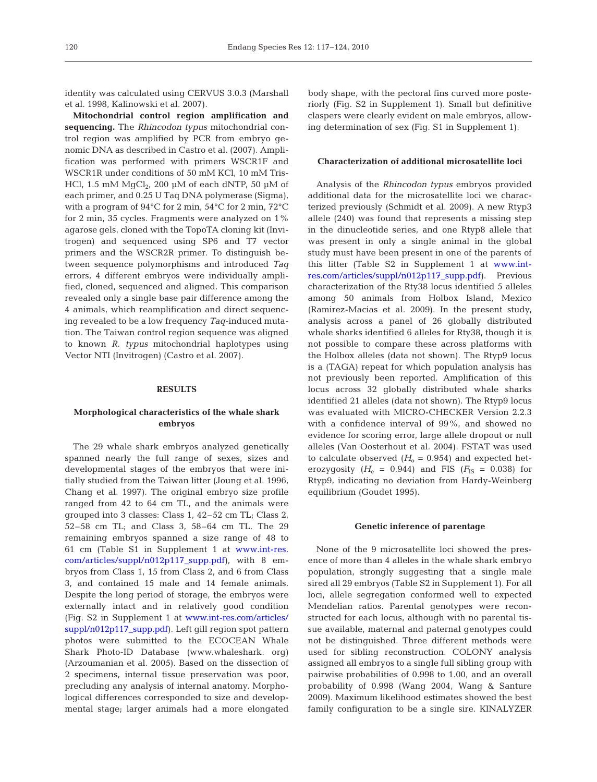identity was calculated using CERVUS 3.0.3 (Marshall et al. 1998, Kalinowski et al. 2007).

**Mitochondrial control region amplification and sequencing.** The *Rhincodon typus* mitochondrial control region was amplified by PCR from embryo genomic DNA as described in Castro et al. (2007). Amplification was performed with primers WSCR1F and WSCR1R under conditions of 50 mM KCl, 10 mM Tris-HCl, 1.5 mM  $MgCl<sub>2</sub>$ , 200 µM of each dNTP, 50 µM of each primer, and 0.25 U Taq DNA polymerase (Sigma), with a program of 94°C for 2 min, 54°C for 2 min, 72°C for 2 min, 35 cycles. Fragments were analyzed on 1% agarose gels, cloned with the TopoTA cloning kit (Invitrogen) and sequenced using SP6 and T7 vector primers and the WSCR2R primer. To distinguish between sequence polymorphisms and introduced *Taq* errors, 4 different embryos were individually amplified, cloned, sequenced and aligned. This comparison revealed only a single base pair difference among the 4 animals, which reamplification and direct sequencing revealed to be a low frequency *Taq*-induced mutation. The Taiwan control region sequence was aligned to known *R. typus* mitochondrial haplotypes using Vector NTI (Invitrogen) (Castro et al. 2007).

### **RESULTS**

# **Morphological characteristics of the whale shark embryos**

The 29 whale shark embryos analyzed genetically spanned nearly the full range of sexes, sizes and developmental stages of the embryos that were initially studied from the Taiwan litter (Joung et al. 1996, Chang et al. 1997). The original embryo size profile ranged from 42 to 64 cm TL, and the animals were grouped into 3 classes: Class 1, 42–52 cm TL; Class 2, 52–58 cm TL; and Class 3, 58–64 cm TL. The 29 remaining embryos spanned a size range of 48 to 61 cm (Table S1 in Supplement 1 a[t www.int-res.](http://www.int-res.com/articles/suppl/n012p117_supp.pdf) [com/articles/suppl/n012p117\\_supp.pdf\)](http://www.int-res.com/articles/suppl/n012p117_supp.pdf), with 8 embryos from Class 1, 15 from Class 2, and 6 from Class 3, and contained 15 male and 14 female animals. Despite the long period of storage, the embryos were externally intact and in relatively good condition (Fig. S2 in Supplement 1 a[t www.int-res.com/articles/](http://www.int-res.com/articles/suppl/n012p117_supp.pdf) [suppl/n012p117\\_supp.pdf\)](http://www.int-res.com/articles/suppl/n012p117_supp.pdf). Left gill region spot pattern photos were submitted to the ECOCEAN Whale Shark Photo-ID Database (www.whaleshark. org) (Arzoumanian et al. 2005). Based on the dissection of 2 specimens, internal tissue preservation was poor, precluding any analysis of internal anatomy. Morphological differences corresponded to size and developmental stage; larger animals had a more elongated body shape, with the pectoral fins curved more posteriorly (Fig. S2 in Supplement 1). Small but definitive claspers were clearly evident on male embryos, allowing determination of sex (Fig. S1 in Supplement 1).

### **Characterization of additional microsatellite loci**

Analysis of the *Rhincodon typus* embryos provided additional data for the microsatellite loci we characterized previously (Schmidt et al. 2009). A new Rtyp3 allele (240) was found that represents a missing step in the dinucleotide series, and one Rtyp8 allele that was present in only a single animal in the global study must have been present in one of the parents of this litter (Table S2 in Supplement 1 a[t www.int](http://www.int-res.com/articles/suppl/n012p117_supp.pdf)[res.com/articles/suppl/n012p117\\_supp.pdf\)](http://www.int-res.com/articles/suppl/n012p117_supp.pdf). Previous characterization of the Rty38 locus identified 5 alleles among 50 animals from Holbox Island, Mexico (Ramirez-Macias et al. 2009). In the present study, analysis across a panel of 26 globally distributed whale sharks identified 6 alleles for Rty38, though it is not possible to compare these across platforms with the Holbox alleles (data not shown). The Rtyp9 locus is a (TAGA) repeat for which population analysis has not previously been reported. Amplification of this locus across 32 globally distributed whale sharks identified 21 alleles (data not shown). The Rtyp9 locus was evaluated with MICRO-CHECKER Version 2.2.3 with a confidence interval of 99%, and showed no evidence for scoring error, large allele dropout or null alleles (Van Oosterhout et al. 2004). FSTAT was used to calculate observed  $(H<sub>o</sub> = 0.954)$  and expected heterozygosity  $(H_e = 0.944)$  and FIS  $(F_{IS} = 0.038)$  for Rtyp9, indicating no deviation from Hardy-Weinberg equilibrium (Goudet 1995).

#### **Genetic inference of parentage**

None of the 9 microsatellite loci showed the presence of more than 4 alleles in the whale shark embryo population, strongly suggesting that a single male sired all 29 embryos (Table S2 in Supplement 1). For all loci, allele segregation conformed well to expected Mendelian ratios. Parental genotypes were reconstructed for each locus, although with no parental tissue available, maternal and paternal genotypes could not be distinguished. Three different methods were used for sibling reconstruction. COLONY analysis assigned all embryos to a single full sibling group with pairwise probabilities of 0.998 to 1.00, and an overall probability of 0.998 (Wang 2004, Wang & Santure 2009). Maximum likelihood estimates showed the best family configuration to be a single sire. KINALYZER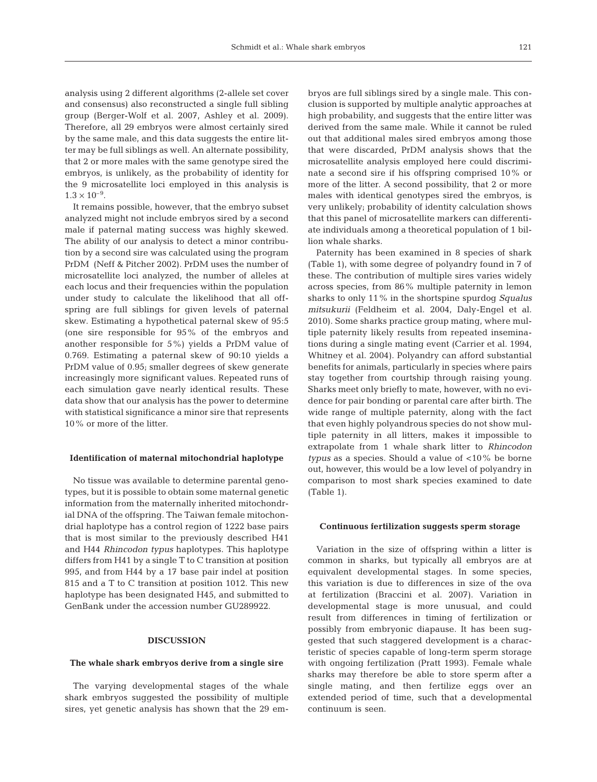analysis using 2 different algorithms (2-allele set cover and consensus) also reconstructed a single full sibling group (Berger-Wolf et al. 2007, Ashley et al. 2009). Therefore, all 29 embryos were almost certainly sired by the same male, and this data suggests the entire litter may be full siblings as well. An alternate possibility, that 2 or more males with the same genotype sired the embryos, is unlikely, as the probability of identity for the 9 microsatellite loci employed in this analysis is  $1.3 \times 10^{-9}$ .

It remains possible, however, that the embryo subset analyzed might not include embryos sired by a second male if paternal mating success was highly skewed. The ability of our analysis to detect a minor contribution by a second sire was calculated using the program PrDM (Neff & Pitcher 2002). PrDM uses the number of microsatellite loci analyzed, the number of alleles at each locus and their frequencies within the population under study to calculate the likelihood that all offspring are full siblings for given levels of paternal skew. Estimating a hypothetical paternal skew of 95:5 (one sire responsible for 95% of the embryos and another responsible for 5%) yields a PrDM value of 0.769. Estimating a paternal skew of 90:10 yields a PrDM value of 0.95; smaller degrees of skew generate increasingly more significant values. Repeated runs of each simulation gave nearly identical results. These data show that our analysis has the power to determine with statistical significance a minor sire that represents 10% or more of the litter.

#### **Identification of maternal mitochondrial haplotype**

No tissue was available to determine parental genotypes, but it is possible to obtain some maternal genetic information from the maternally inherited mitochondrial DNA of the offspring. The Taiwan female mitochondrial haplotype has a control region of 1222 base pairs that is most similar to the previously described H41 and H44 *Rhincodon typus* haplotypes. This haplotype differs from H41 by a single T to C transition at position 995, and from H44 by a 17 base pair indel at position 815 and a T to C transition at position 1012. This new haplotype has been designated H45, and submitted to GenBank under the accession number GU289922.

### **DISCUSSION**

#### **The whale shark embryos derive from a single sire**

The varying developmental stages of the whale shark embryos suggested the possibility of multiple sires, yet genetic analysis has shown that the 29 embryos are full siblings sired by a single male. This conclusion is supported by multiple analytic approaches at high probability, and suggests that the entire litter was derived from the same male. While it cannot be ruled out that additional males sired embryos among those that were discarded, PrDM analysis shows that the microsatellite analysis employed here could discriminate a second sire if his offspring comprised 10% or more of the litter. A second possibility, that 2 or more males with identical genotypes sired the embryos, is very unlikely; probability of identity calculation shows that this panel of microsatellite markers can differentiate individuals among a theoretical population of 1 billion whale sharks.

Paternity has been examined in 8 species of shark (Table 1), with some degree of polyandry found in 7 of these. The contribution of multiple sires varies widely across species, from 86% multiple paternity in lemon sharks to only 11% in the shortspine spurdog *Squalus mitsukurii* (Feldheim et al. 2004, Daly-Engel et al. 2010). Some sharks practice group mating, where multiple paternity likely results from repeated inseminations during a single mating event (Carrier et al. 1994, Whitney et al. 2004). Polyandry can afford substantial benefits for animals, particularly in species where pairs stay together from courtship through raising young. Sharks meet only briefly to mate, however, with no evidence for pair bonding or parental care after birth. The wide range of multiple paternity, along with the fact that even highly polyandrous species do not show multiple paternity in all litters, makes it impossible to extrapolate from 1 whale shark litter to *Rhincodon typus* as a species. Should a value of <10% be borne out, however, this would be a low level of polyandry in comparison to most shark species examined to date (Table 1).

#### **Continuous fertilization suggests sperm storage**

Variation in the size of offspring within a litter is common in sharks, but typically all embryos are at equivalent developmental stages. In some species, this variation is due to differences in size of the ova at fertilization (Braccini et al. 2007). Variation in developmental stage is more unusual, and could result from differences in timing of fertilization or possibly from embryonic diapause. It has been suggested that such staggered development is a characteristic of species capable of long-term sperm storage with ongoing fertilization (Pratt 1993). Female whale sharks may therefore be able to store sperm after a single mating, and then fertilize eggs over an extended period of time, such that a developmental continuum is seen.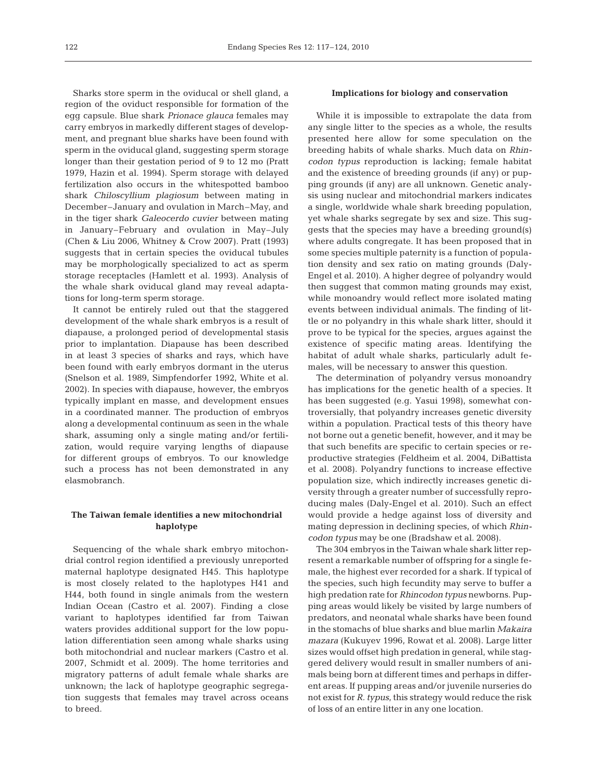Sharks store sperm in the oviducal or shell gland, a region of the oviduct responsible for formation of the egg capsule. Blue shark *Prionace glauca* females may carry embryos in markedly different stages of development, and pregnant blue sharks have been found with sperm in the oviducal gland, suggesting sperm storage longer than their gestation period of 9 to 12 mo (Pratt 1979, Hazin et al. 1994). Sperm storage with delayed fertilization also occurs in the whitespotted bamboo shark *Chiloscyllium plagiosum* between mating in December–January and ovulation in March–May, and in the tiger shark *Galeocerdo cuvier* between mating in January–February and ovulation in May–July (Chen & Liu 2006, Whitney & Crow 2007). Pratt (1993) suggests that in certain species the oviducal tubules may be morphologically specialized to act as sperm storage receptacles (Hamlett et al. 1993). Analysis of the whale shark oviducal gland may reveal adaptations for long-term sperm storage.

It cannot be entirely ruled out that the staggered development of the whale shark embryos is a result of diapause, a prolonged period of developmental stasis prior to implantation. Diapause has been described in at least 3 species of sharks and rays, which have been found with early embryos dormant in the uterus (Snelson et al. 1989, Simpfendorfer 1992, White et al. 2002). In species with diapause, however, the embryos typically implant en masse, and development ensues in a coordinated manner. The production of embryos along a developmental continuum as seen in the whale shark, assuming only a single mating and/or fertilization, would require varying lengths of diapause for different groups of embryos. To our knowledge such a process has not been demonstrated in any elasmobranch.

## **The Taiwan female identifies a new mitochondrial haplotype**

Sequencing of the whale shark embryo mitochondrial control region identified a previously unreported maternal haplotype designated H45. This haplotype is most closely related to the haplotypes H41 and H44, both found in single animals from the western Indian Ocean (Castro et al. 2007). Finding a close variant to haplotypes identified far from Taiwan waters provides additional support for the low population differentiation seen among whale sharks using both mitochondrial and nuclear markers (Castro et al. 2007, Schmidt et al. 2009). The home territories and migratory patterns of adult female whale sharks are unknown; the lack of haplotype geographic segregation suggests that females may travel across oceans to breed.

#### **Implications for biology and conservation**

While it is impossible to extrapolate the data from any single litter to the species as a whole, the results presented here allow for some speculation on the breeding habits of whale sharks. Much data on *Rhincodon typus* reproduction is lacking; female habitat and the existence of breeding grounds (if any) or pupping grounds (if any) are all unknown. Genetic analysis using nuclear and mitochondrial markers indicates a single, worldwide whale shark breeding population, yet whale sharks segregate by sex and size. This suggests that the species may have a breeding ground(s) where adults congregate. It has been proposed that in some species multiple paternity is a function of population density and sex ratio on mating grounds (Daly-Engel et al. 2010). A higher degree of polyandry would then suggest that common mating grounds may exist, while monoandry would reflect more isolated mating events between individual animals. The finding of little or no polyandry in this whale shark litter, should it prove to be typical for the species, argues against the existence of specific mating areas. Identifying the habitat of adult whale sharks, particularly adult females, will be necessary to answer this question.

The determination of polyandry versus monoandry has implications for the genetic health of a species. It has been suggested (e.g. Yasui 1998), somewhat controversially, that polyandry increases genetic diversity within a population. Practical tests of this theory have not borne out a genetic benefit, however, and it may be that such benefits are specific to certain species or reproductive strategies (Feldheim et al. 2004, DiBattista et al. 2008). Polyandry functions to increase effective population size, which indirectly increases genetic diversity through a greater number of successfully reproducing males (Daly-Engel et al. 2010). Such an effect would provide a hedge against loss of diversity and mating depression in declining species, of which *Rhincodon typus* may be one (Bradshaw et al. 2008).

The 304 embryos in the Taiwan whale shark litter represent a remarkable number of offspring for a single female, the highest ever recorded for a shark. If typical of the species, such high fecundity may serve to buffer a high predation rate for *Rhincodon typus* newborns. Pupping areas would likely be visited by large numbers of predators, and neonatal whale sharks have been found in the stomachs of blue sharks and blue marlin *Makaira mazara* (Kukuyev 1996, Rowat et al. 2008). Large litter sizes would offset high predation in general, while staggered delivery would result in smaller numbers of animals being born at different times and perhaps in different areas. If pupping areas and/or juvenile nurseries do not exist for *R. typus*, this strategy would reduce the risk of loss of an entire litter in any one location.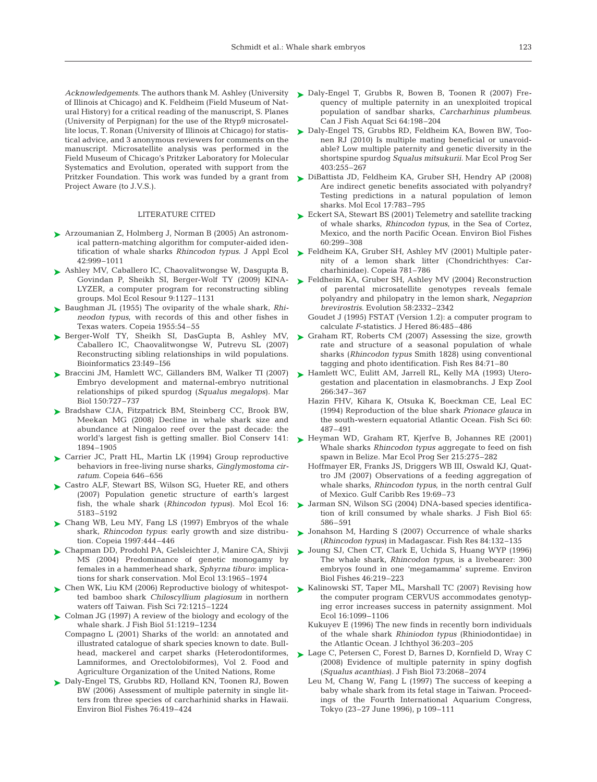of Illinois at Chicago) and K. Feldheim (Field Museum of Natural History) for a critical reading of the manuscript, S. Planes (University of Perpignan) for the use of the Rtyp9 microsatellite locus, T. Ronan (University of Illinois at Chicago) for statistical advice, and 3 anonymous reviewers for comments on the manuscript. Microsatellite analysis was performed in the Field Museum of Chicago's Pritzker Laboratory for Molecular Systematics and Evolution, operated with support from the Pritzker Foundation. This work was funded by a grant from Project Aware (to J.V.S.).

#### LITERATURE CITED

- Arzoumanian Z, Holmberg J, Norman B (2005) An astronom-➤ ical pattern-matching algorithm for computer-aided identification of whale sharks *Rhincodon typus*. J Appl Ecol 42:999–1011
- ► Ashley MV, Caballero IC, Chaovalitwongse W, Dasgupta B, Govindan P, Sheikh SI, Berger-Wolf TY (2009) KINA-LYZER, a computer program for reconstructing sibling groups. Mol Ecol Resour 9:1127–1131
- Baughman JL (1955) The oviparity of the whale shark, *Rhi-*➤ *neodon typus*, with records of this and other fishes in Texas waters. Copeia 1955:54–55
- ► Berger-Wolf TY, Sheikh SI, DasGupta B, Ashley MV, Caballero IC, Chaovalitwongse W, Putrevu SL (2007) Reconstructing sibling relationships in wild populations. Bioinformatics 23:I49–I56
- ► Braccini JM, Hamlett WC, Gillanders BM, Walker TI (2007) Embryo development and maternal-embryo nutritional relationships of piked spurdog (*Squalus megalops*). Mar Biol 150:727–737
- ▶ Bradshaw CJA, Fitzpatrick BM, Steinberg CC, Brook BW, Meekan MG (2008) Decline in whale shark size and abundance at Ningaloo reef over the past decade: the world's largest fish is getting smaller. Biol Conserv 141: 1894–1905
- ► Carrier JC, Pratt HL, Martin LK (1994) Group reproductive behaviors in free-living nurse sharks, *Ginglymostoma cirratum*. Copeia 646–656
- ▶ Castro ALF, Stewart BS, Wilson SG, Hueter RE, and others (2007) Population genetic structure of earth's largest fish, the whale shark (*Rhincodon typus*). Mol Ecol 16: 5183–5192
- ▶ Chang WB, Leu MY, Fang LS (1997) Embryos of the whale shark, *Rhincodon typus*: early growth and size distribution. Copeia 1997:444–446
- ► Chapman DD, Prodohl PA, Gelsleichter J, Manire CA, Shivji MS (2004) Predominance of genetic monogamy by females in a hammerhead shark, *Sphyrna tiburo*: implications for shark conservation. Mol Ecol 13:1965–1974
- ► Chen WK, Liu KM (2006) Reproductive biology of whitespotted bamboo shark *Chiloscyllium plagiosum* in northern waters off Taiwan. Fish Sci 72:1215–1224
- ► Colman JG (1997) A review of the biology and ecology of the whale shark. J Fish Biol 51:1219–1234
	- Compagno L (2001) Sharks of the world: an annotated and illustrated catalogue of shark species known to date. Bullhead, mackerel and carpet sharks (Heterodontiformes, Lamniformes, and Orectolobiformes), Vol 2. Food and Agriculture Organization of the United Nations, Rome
- ▶ Daly-Engel TS, Grubbs RD, Holland KN, Toonen RJ, Bowen BW (2006) Assessment of multiple paternity in single litters from three species of carcharhinid sharks in Hawaii. Environ Biol Fishes 76:419–424
- Acknowledgements. The authors thank M. Ashley (University  $\sum$  Daly-Engel T, Grubbs R, Bowen B, Toonen R (2007) Frequency of multiple paternity in an unexploited tropical population of sandbar sharks, *Carcharhinus plumbeus*. Can J Fish Aquat Sci 64:198–204
	- ▶ Daly-Engel TS, Grubbs RD, Feldheim KA, Bowen BW, Toonen RJ (2010) Is multiple mating beneficial or unavoidable? Low multiple paternity and genetic diversity in the shortspine spurdog *Squalus mitsukurii*. Mar Ecol Prog Ser 403:255–267
	- ► DiBattista JD, Feldheim KA, Gruber SH, Hendry AP (2008) Are indirect genetic benefits associated with polyandry? Testing predictions in a natural population of lemon sharks. Mol Ecol 17:783–795
	- ► Eckert SA, Stewart BS (2001) Telemetry and satellite tracking of whale sharks, *Rhincodon typus*, in the Sea of Cortez, Mexico, and the north Pacific Ocean. Environ Biol Fishes 60:299–308
	- ► Feldheim KA, Gruber SH, Ashley MV (2001) Multiple paternity of a lemon shark litter (Chondrichthyes: Carcharhinidae). Copeia 781–786
	- ► Feldheim KA, Gruber SH, Ashley MV (2004) Reconstruction of parental microsatellite genotypes reveals female polyandry and philopatry in the lemon shark, *Negaprion brevirostris*. Evolution 58:2332–2342
		- Goudet J (1995) FSTAT (Version 1.2): a computer program to calculate *F*-statistics. J Hered 86:485–486
	- ► Graham RT, Roberts CM (2007) Assessing the size, growth rate and structure of a seasonal population of whale sharks (*Rhincodon typus* Smith 1828) using conventional tagging and photo identification. Fish Res 84:71–80
	- ► Hamlett WC, Eulitt AM, Jarrell RL, Kelly MA (1993) Uterogestation and placentation in elasmobranchs. J Exp Zool 266:347–367
		- Hazin FHV, Kihara K, Otsuka K, Boeckman CE, Leal EC (1994) Reproduction of the blue shark *Prionace glauca* in the south-western equatorial Atlantic Ocean. Fish Sci 60: 487–491
	- ► Heyman WD, Graham RT, Kjerfve B, Johannes RE (2001) Whale sharks *Rhincodon typus* aggregate to feed on fish spawn in Belize. Mar Ecol Prog Ser 215:275–282
		- Hoffmayer ER, Franks JS, Driggers WB III, Oswald KJ, Quattro JM (2007) Observations of a feeding aggregation of whale sharks, *Rhincodon typus*, in the north central Gulf of Mexico. Gulf Caribb Res 19:69–73
	- ► Jarman SN, Wilson SG (2004) DNA-based species identification of krill consumed by whale sharks. J Fish Biol 65: 586–591
	- ► Jonahson M, Harding S (2007) Occurrence of whale sharks (*Rhincodon typus*) in Madagascar. Fish Res 84:132–135
	- ► Joung SJ, Chen CT, Clark E, Uchida S, Huang WYP (1996) The whale shark, *Rhincodon typus*, is a livebearer: 300 embryos found in one 'megamamma' supreme. Environ Biol Fishes 46:219–223
	- ► Kalinowski ST, Taper ML, Marshall TC (2007) Revising how the computer program CERVUS accommodates genotyping error increases success in paternity assignment. Mol Ecol 16:1099–1106
		- Kukuyev E (1996) The new finds in recently born individuals of the whale shark *Rhiniodon typus* (Rhiniodontidae) in the Atlantic Ocean. J Ichthyol 36:203–205
	- ► Lage C, Petersen C, Forest D, Barnes D, Kornfield D, Wray C (2008) Evidence of multiple paternity in spiny dogfish (*Squalus acanthias*). J Fish Biol 73:2068–2074
		- Leu M, Chang W, Fang L (1997) The success of keeping a baby whale shark from its fetal stage in Taiwan. Proceedings of the Fourth International Aquarium Congress, Tokyo (23–27 June 1996), p 109–111